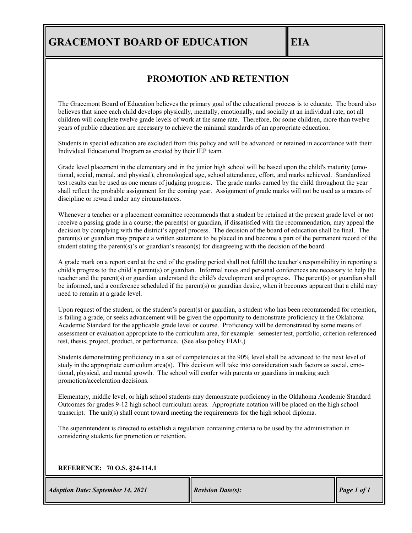## **GRACEMONT BOARD OF EDUCATION EIA**

## **PROMOTION AND RETENTION**

The Gracemont Board of Education believes the primary goal of the educational process is to educate. The board also believes that since each child develops physically, mentally, emotionally, and socially at an individual rate, not all children will complete twelve grade levels of work at the same rate. Therefore, for some children, more than twelve years of public education are necessary to achieve the minimal standards of an appropriate education.

Students in special education are excluded from this policy and will be advanced or retained in accordance with their Individual Educational Program as created by their IEP team.

Grade level placement in the elementary and in the junior high school will be based upon the child's maturity (emotional, social, mental, and physical), chronological age, school attendance, effort, and marks achieved. Standardized test results can be used as one means of judging progress. The grade marks earned by the child throughout the year shall reflect the probable assignment for the coming year. Assignment of grade marks will not be used as a means of discipline or reward under any circumstances.

Whenever a teacher or a placement committee recommends that a student be retained at the present grade level or not receive a passing grade in a course; the parent(s) or guardian, if dissatisfied with the recommendation, may appeal the decision by complying with the district's appeal process. The decision of the board of education shall be final. The parent(s) or guardian may prepare a written statement to be placed in and become a part of the permanent record of the student stating the parent(s)'s or guardian's reason(s) for disagreeing with the decision of the board.

A grade mark on a report card at the end of the grading period shall not fulfill the teacher's responsibility in reporting a child's progress to the child's parent(s) or guardian. Informal notes and personal conferences are necessary to help the teacher and the parent(s) or guardian understand the child's development and progress. The parent(s) or guardian shall be informed, and a conference scheduled if the parent(s) or guardian desire, when it becomes apparent that a child may need to remain at a grade level.

Upon request of the student, or the student's parent(s) or guardian, a student who has been recommended for retention, is failing a grade, or seeks advancement will be given the opportunity to demonstrate proficiency in the Oklahoma Academic Standard for the applicable grade level or course. Proficiency will be demonstrated by some means of assessment or evaluation appropriate to the curriculum area, for example: semester test, portfolio, criterion-referenced test, thesis, project, product, or performance. (See also policy EIAE.)

Students demonstrating proficiency in a set of competencies at the 90% level shall be advanced to the next level of study in the appropriate curriculum area(s). This decision will take into consideration such factors as social, emotional, physical, and mental growth. The school will confer with parents or guardians in making such promotion/acceleration decisions.

Elementary, middle level, or high school students may demonstrate proficiency in the Oklahoma Academic Standard Outcomes for grades 9-12 high school curriculum areas. Appropriate notation will be placed on the high school transcript. The unit(s) shall count toward meeting the requirements for the high school diploma.

The superintendent is directed to establish a regulation containing criteria to be used by the administration in considering students for promotion or retention.

## **REFERENCE: 70 O.S. §24-114.1**

*Adoption Date: September 14, 2021 Revision Date(s):* Page 1 *of 1*